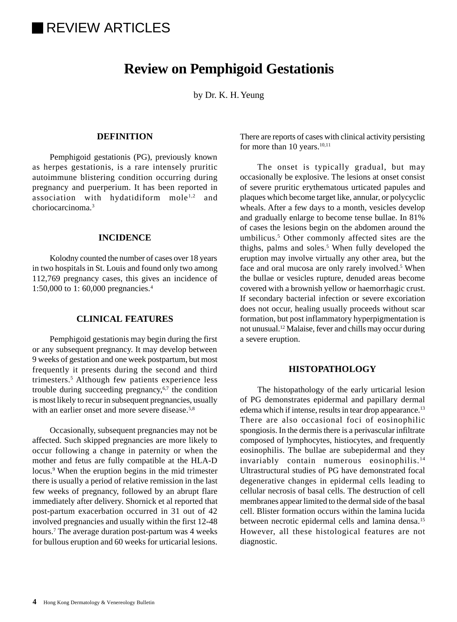# **REVIEW ARTICLES**

## **Review on Pemphigoid Gestationis**

by Dr. K. H. Yeung

## **DEFINITION**

Pemphigoid gestationis (PG), previously known as herpes gestationis, is a rare intensely pruritic autoimmune blistering condition occurring during pregnancy and puerperium. It has been reported in association with hydatidiform  $\text{mole}^{1,2}$  and choriocarcinoma.3

## **INCIDENCE**

Kolodny counted the number of cases over 18 years in two hospitals in St. Louis and found only two among 112,769 pregnancy cases, this gives an incidence of 1:50,000 to 1: 60,000 pregnancies.4

## **CLINICAL FEATURES**

Pemphigoid gestationis may begin during the first or any subsequent pregnancy. It may develop between 9 weeks of gestation and one week postpartum, but most frequently it presents during the second and third trimesters.5 Although few patients experience less trouble during succeeding pregnancy, $6,7$  the condition is most likely to recur in subsequent pregnancies, usually with an earlier onset and more severe disease.<sup>5,8</sup>

Occasionally, subsequent pregnancies may not be affected. Such skipped pregnancies are more likely to occur following a change in paternity or when the mother and fetus are fully compatible at the HLA-D locus.<sup>9</sup> When the eruption begins in the mid trimester there is usually a period of relative remission in the last few weeks of pregnancy, followed by an abrupt flare immediately after delivery. Shornick et al reported that post-partum exacerbation occurred in 31 out of 42 involved pregnancies and usually within the first 12-48 hours.7 The average duration post-partum was 4 weeks for bullous eruption and 60 weeks for urticarial lesions.

There are reports of cases with clinical activity persisting for more than  $10$  years.<sup>10,11</sup>

The onset is typically gradual, but may occasionally be explosive. The lesions at onset consist of severe pruritic erythematous urticated papules and plaques which become target like, annular, or polycyclic wheals. After a few days to a month, vesicles develop and gradually enlarge to become tense bullae. In 81% of cases the lesions begin on the abdomen around the umbilicus.<sup>5</sup> Other commonly affected sites are the thighs, palms and soles.<sup>5</sup> When fully developed the eruption may involve virtually any other area, but the face and oral mucosa are only rarely involved.<sup>5</sup> When the bullae or vesicles rupture, denuded areas become covered with a brownish yellow or haemorrhagic crust. If secondary bacterial infection or severe excoriation does not occur, healing usually proceeds without scar formation, but post inflammatory hyperpigmentation is not unusual.12 Malaise, fever and chills may occur during a severe eruption.

## **HISTOPATHOLOGY**

The histopathology of the early urticarial lesion of PG demonstrates epidermal and papillary dermal edema which if intense, results in tear drop appearance.13 There are also occasional foci of eosinophilic spongiosis. In the dermis there is a perivascular infiltrate composed of lymphocytes, histiocytes, and frequently eosinophilis. The bullae are subepidermal and they invariably contain numerous eosinophilis.<sup>14</sup> Ultrastructural studies of PG have demonstrated focal degenerative changes in epidermal cells leading to cellular necrosis of basal cells. The destruction of cell membranes appear limited to the dermal side of the basal cell. Blister formation occurs within the lamina lucida between necrotic epidermal cells and lamina densa.<sup>15</sup> However, all these histological features are not diagnostic.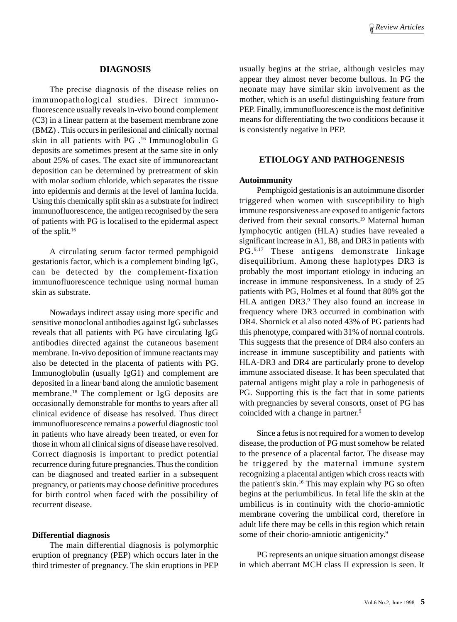#### **DIAGNOSIS**

The precise diagnosis of the disease relies on immunopathological studies. Direct immunofluorescence usually reveals in-vivo bound complement (C3) in a linear pattern at the basement membrane zone (BMZ) . This occurs in perilesional and clinically normal skin in all patients with PG .16 Immunoglobulin G deposits are sometimes present at the same site in only about 25% of cases. The exact site of immunoreactant deposition can be determined by pretreatment of skin with molar sodium chloride, which separates the tissue into epidermis and dermis at the level of lamina lucida. Using this chemically split skin as a substrate for indirect immunofluorescence, the antigen recognised by the sera of patients with PG is localised to the epidermal aspect of the split.16

A circulating serum factor termed pemphigoid gestationis factor, which is a complement binding IgG, can be detected by the complement-fixation immunofluorescence technique using normal human skin as substrate.

Nowadays indirect assay using more specific and sensitive monoclonal antibodies against IgG subclasses reveals that all patients with PG have circulating IgG antibodies directed against the cutaneous basement membrane. In-vivo deposition of immune reactants may also be detected in the placenta of patients with PG. Immunoglobulin (usually IgG1) and complement are deposited in a linear band along the amniotic basement membrane.18 The complement or IgG deposits are occasionally demonstrable for months to years after all clinical evidence of disease has resolved. Thus direct immunofluorescence remains a powerful diagnostic tool in patients who have already been treated, or even for those in whom all clinical signs of disease have resolved. Correct diagnosis is important to predict potential recurrence during future pregnancies. Thus the condition can be diagnosed and treated earlier in a subsequent pregnancy, or patients may choose definitive procedures for birth control when faced with the possibility of recurrent disease.

#### **Differential diagnosis**

The main differential diagnosis is polymorphic eruption of pregnancy (PEP) which occurs later in the third trimester of pregnancy. The skin eruptions in PEP usually begins at the striae, although vesicles may appear they almost never become bullous. In PG the neonate may have similar skin involvement as the mother, which is an useful distinguishing feature from PEP. Finally, immunofluorescence is the most definitive means for differentiating the two conditions because it is consistently negative in PEP.

## **ETIOLOGY AND PATHOGENESIS**

#### **Autoimmunity**

Pemphigoid gestationis is an autoimmune disorder triggered when women with susceptibility to high immune responsiveness are exposed to antigenic factors derived from their sexual consorts.<sup>19</sup> Maternal human lymphocytic antigen (HLA) studies have revealed a significant increase in A1, B8, and DR3 in patients with PG.9,17 These antigens demonstrate linkage disequilibrium. Among these haplotypes DR3 is probably the most important etiology in inducing an increase in immune responsiveness. In a study of 25 patients with PG, Holmes et al found that 80% got the HLA antigen DR3.<sup>9</sup> They also found an increase in frequency where DR3 occurred in combination with DR4. Shornick et al also noted 43% of PG patients had this phenotype, compared with 31% of normal controls. This suggests that the presence of DR4 also confers an increase in immune susceptibility and patients with HLA-DR3 and DR4 are particularly prone to develop immune associated disease. It has been speculated that paternal antigens might play a role in pathogenesis of PG. Supporting this is the fact that in some patients with pregnancies by several consorts, onset of PG has coincided with a change in partner.<sup>9</sup>

Since a fetus is not required for a women to develop disease, the production of PG must somehow be related to the presence of a placental factor. The disease may be triggered by the maternal immune system recognizing a placental antigen which cross reacts with the patient's skin.16 This may explain why PG so often begins at the periumbilicus. In fetal life the skin at the umbilicus is in continuity with the chorio-amniotic membrane covering the umbilical cord, therefore in adult life there may be cells in this region which retain some of their chorio-amniotic antigenicity.<sup>9</sup>

PG represents an unique situation amongst disease in which aberrant MCH class II expression is seen. It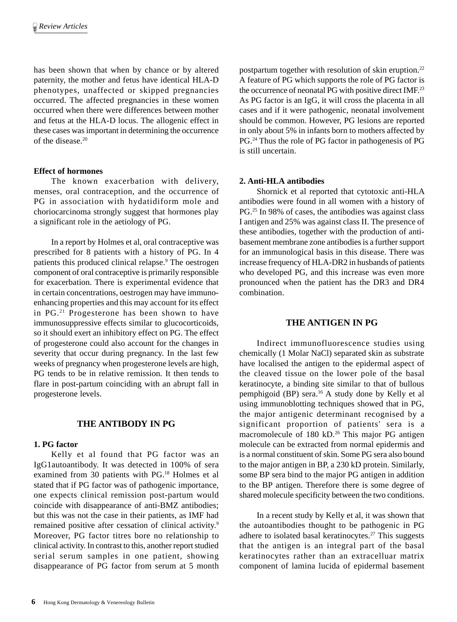has been shown that when by chance or by altered paternity, the mother and fetus have identical HLA-D phenotypes, unaffected or skipped pregnancies occurred. The affected pregnancies in these women occurred when there were differences between mother and fetus at the HLA-D locus. The allogenic effect in these cases was important in determining the occurrence of the disease.20

## **Effect of hormones**

The known exacerbation with delivery, menses, oral contraception, and the occurrence of PG in association with hydatidiform mole and choriocarcinoma strongly suggest that hormones play a significant role in the aetiology of PG.

In a report by Holmes et al, oral contraceptive was prescribed for 8 patients with a history of PG. In 4 patients this produced clinical relapse.<sup>9</sup> The oestrogen component of oral contraceptive is primarily responsible for exacerbation. There is experimental evidence that in certain concentrations, oestrogen may have immunoenhancing properties and this may account for its effect in PG.21 Progesterone has been shown to have immunosuppressive effects similar to glucocorticoids, so it should exert an inhibitory effect on PG. The effect of progesterone could also account for the changes in severity that occur during pregnancy. In the last few weeks of pregnancy when progesterone levels are high, PG tends to be in relative remission. It then tends to flare in post-partum coinciding with an abrupt fall in progesterone levels.

## **THE ANTIBODY IN PG**

#### **1. PG factor**

Kelly et al found that PG factor was an IgG1autoantibody. It was detected in 100% of sera examined from 30 patients with PG.18 Holmes et al stated that if PG factor was of pathogenic importance, one expects clinical remission post-partum would coincide with disappearance of anti-BMZ antibodies; but this was not the case in their patients, as IMF had remained positive after cessation of clinical activity.<sup>9</sup> Moreover, PG factor titres bore no relationship to clinical activity. In contrast to this, another report studied serial serum samples in one patient, showing disappearance of PG factor from serum at 5 month postpartum together with resolution of skin eruption.22 A feature of PG which supports the role of PG factor is the occurrence of neonatal PG with positive direct IMF.<sup>23</sup> As PG factor is an IgG, it will cross the placenta in all cases and if it were pathogenic, neonatal involvement should be common. However, PG lesions are reported in only about 5% in infants born to mothers affected by PG.24 Thus the role of PG factor in pathogenesis of PG is still uncertain.

## **2. Anti-HLA antibodies**

Shornick et al reported that cytotoxic anti-HLA antibodies were found in all women with a history of PG.25 In 98% of cases, the antibodies was against class I antigen and 25% was against class II. The presence of these antibodies, together with the production of antibasement membrane zone antibodies is a further support for an immunological basis in this disease. There was increase frequency of HLA-DR2 in husbands of patients who developed PG, and this increase was even more pronounced when the patient has the DR3 and DR4 combination.

## **THE ANTIGEN IN PG**

Indirect immunofluorescence studies using chemically (1 Molar NaCl) separated skin as substrate have localised the antigen to the epidermal aspect of the cleaved tissue on the lower pole of the basal keratinocyte, a binding site similar to that of bullous pemphigoid (BP) sera.16 A study done by Kelly et al using immunoblotting techniques showed that in PG, the major antigenic determinant recognised by a significant proportion of patients' sera is a macromolecule of 180 kD.<sup>26</sup> This major PG antigen molecule can be extracted from normal epidermis and is a normal constituent of skin. Some PG sera also bound to the major antigen in BP, a 230 kD protein. Similarly, some BP sera bind to the major PG antigen in addition to the BP antigen. Therefore there is some degree of shared molecule specificity between the two conditions.

In a recent study by Kelly et al, it was shown that the autoantibodies thought to be pathogenic in PG adhere to isolated basal keratinocytes. $27$  This suggests that the antigen is an integral part of the basal keratinocytes rather than an extracelluar matrix component of lamina lucida of epidermal basement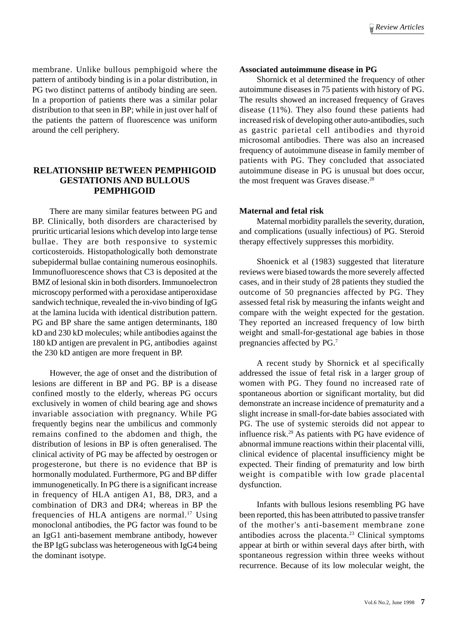membrane. Unlike bullous pemphigoid where the pattern of antibody binding is in a polar distribution, in PG two distinct patterns of antibody binding are seen. In a proportion of patients there was a similar polar distribution to that seen in BP; while in just over half of the patients the pattern of fluorescence was uniform around the cell periphery.

## **RELATIONSHIP BETWEEN PEMPHIGOID GESTATIONIS AND BULLOUS PEMPHIGOID**

There are many similar features between PG and BP. Clinically, both disorders are characterised by pruritic urticarial lesions which develop into large tense bullae. They are both responsive to systemic corticosteroids. Histopathologically both demonstrate subepidermal bullae containing numerous eosinophils. Immunofluorescence shows that C3 is deposited at the BMZ of lesional skin in both disorders. Immunoelectron microscopy performed with a peroxidase antiperoxidase sandwich technique, revealed the in-vivo binding of IgG at the lamina lucida with identical distribution pattern. PG and BP share the same antigen determinants, 180 kD and 230 kD molecules; while antibodies against the 180 kD antigen are prevalent in PG, antibodies against the 230 kD antigen are more frequent in BP.

However, the age of onset and the distribution of lesions are different in BP and PG. BP is a disease confined mostly to the elderly, whereas PG occurs exclusively in women of child bearing age and shows invariable association with pregnancy. While PG frequently begins near the umbilicus and commonly remains confined to the abdomen and thigh, the distribution of lesions in BP is often generalised. The clinical activity of PG may be affected by oestrogen or progesterone, but there is no evidence that BP is hormonally modulated. Furthermore, PG and BP differ immunogenetically. In PG there is a significant increase in frequency of HLA antigen A1, B8, DR3, and a combination of DR3 and DR4; whereas in BP the frequencies of HLA antigens are normal.17 Using monoclonal antibodies, the PG factor was found to be an IgG1 anti-basement membrane antibody, however the BP IgG subclass was heterogeneous with IgG4 being the dominant isotype.

#### **Associated autoimmune disease in PG**

Shornick et al determined the frequency of other autoimmune diseases in 75 patients with history of PG. The results showed an increased frequency of Graves disease (11%). They also found these patients had increased risk of developing other auto-antibodies, such as gastric parietal cell antibodies and thyroid microsomal antibodies. There was also an increased frequency of autoimmune disease in family member of patients with PG. They concluded that associated autoimmune disease in PG is unusual but does occur, the most frequent was Graves disease.<sup>28</sup>

#### **Maternal and fetal risk**

Maternal morbidity parallels the severity, duration, and complications (usually infectious) of PG. Steroid therapy effectively suppresses this morbidity.

Shoenick et al (1983) suggested that literature reviews were biased towards the more severely affected cases, and in their study of 28 patients they studied the outcome of 50 pregnancies affected by PG. They assessed fetal risk by measuring the infants weight and compare with the weight expected for the gestation. They reported an increased frequency of low birth weight and small-for-gestational age babies in those pregnancies affected by PG.7

A recent study by Shornick et al specifically addressed the issue of fetal risk in a larger group of women with PG. They found no increased rate of spontaneous abortion or significant mortality, but did demonstrate an increase incidence of prematurity and a slight increase in small-for-date babies associated with PG. The use of systemic steroids did not appear to influence risk.29 As patients with PG have evidence of abnormal immune reactions within their placental villi, clinical evidence of placental insufficiency might be expected. Their finding of prematurity and low birth weight is compatible with low grade placental dysfunction.

Infants with bullous lesions resembling PG have been reported, this has been attributed to passive transfer of the mother's anti-basement membrane zone antibodies across the placenta.<sup>23</sup> Clinical symptoms appear at birth or within several days after birth, with spontaneous regression within three weeks without recurrence. Because of its low molecular weight, the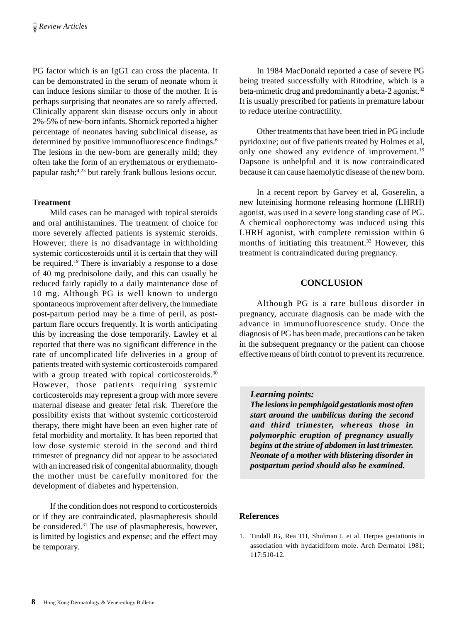PG factor which is an IgG1 can cross the placenta. It can be demonstrated in the serum of neonate whom it can induce lesions similar to those of the mother. It is perhaps surprising that neonates are so rarely affected. Clinically apparent skin disease occurs only in about 2%-5% of new-born infants. Shornick reported a higher percentage of neonates having subclinical disease, as determined by positive immunofluorescence findings.<sup>6</sup> The lesions in the new-born are generally mild; they often take the form of an erythematous or erythematopapular rash;4,23 but rarely frank bullous lesions occur.

## **Treatment**

Mild cases can be managed with topical steroids and oral antihistamines. The treatment of choice for more severely affected patients is systemic steroids. However, there is no disadvantage in withholding systemic corticosteroids until it is certain that they will be required.<sup>19</sup> There is invariably a response to a dose of 40 mg prednisolone daily, and this can usually be reduced fairly rapidly to a daily maintenance dose of 10 mg. Although PG is well known to undergo spontaneous improvement after delivery, the immediate post-partum period may be a time of peril, as postpartum flare occurs frequently. It is worth anticipating this by increasing the dose temporarily. Lawley et al reported that there was no significant difference in the rate of uncomplicated life deliveries in a group of patients treated with systemic corticosteroids compared with a group treated with topical corticosteroids.<sup>30</sup> However, those patients requiring systemic corticosteroids may represent a group with more severe maternal disease and greater fetal risk. Therefore the possibility exists that without systemic corticosteroid therapy, there might have been an even higher rate of fetal morbidity and mortality. It has been reported that low dose systemic steroid in the second and third trimester of pregnancy did not appear to be associated with an increased risk of congenital abnormality, though the mother must be carefully monitored for the development of diabetes and hypertension.

If the condition does not respond to corticosteroids or if they are contraindicated, plasmapheresis should be considered.<sup>31</sup> The use of plasmapheresis, however, is limited by logistics and expense; and the effect may be temporary.

In 1984 MacDonald reported a case of severe PG being treated successfully with Ritodrine, which is a beta-mimetic drug and predominantly a beta-2 agonist.<sup>32</sup> It is usually prescribed for patients in premature labour to reduce uterine contractility.

Other treatments that have been tried in PG include pyridoxine; out of five patients treated by Holmes et al, only one showed any evidence of improvement.<sup>19</sup> Dapsone is unhelpful and it is now contraindicated because it can cause haemolytic disease of the new born.

In a recent report by Garvey et al, Goserelin, a new luteinising hormone releasing hormone (LHRH) agonist, was used in a severe long standing case of PG. A chemical oophorectomy was induced using this LHRH agonist, with complete remission within 6 months of initiating this treatment.<sup>33</sup> However, this treatment is contraindicated during pregnancy.

## **CONCLUSION**

Although PG is a rare bullous disorder in pregnancy, accurate diagnosis can be made with the advance in immunofluorescence study. Once the diagnosis of PG has been made, precautions can be taken in the subsequent pregnancy or the patient can choose effective means of birth control to prevent its recurrence.

## *Learning points:*

*The lesions in pemphigoid gestationis most often start around the umbilicus during the second and third trimester, whereas those in polymorphic eruption of pregnancy usually begins at the striae of abdomen in last trimester. Neonate of a mother with blistering disorder in postpartum period should also be examined.*

#### **References**

1. Tindall JG, Rea TH, Shulman I, et al. Herpes gestationis in association with hydatidiform mole. Arch Dermatol 1981; 117:510-12.